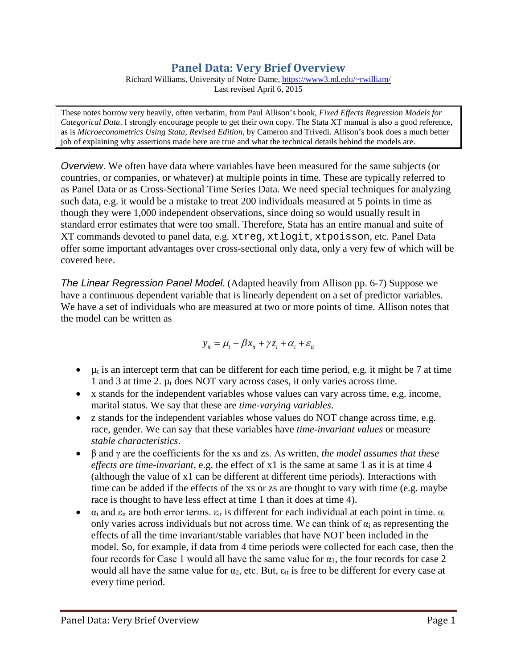# **Panel Data: Very Brief Overview**

Richard Williams, University of Notre Dame, [https://www3.nd.edu/~rwilliam/](http://www3.nd.edu/%7Erwilliam/) Last revised April 6, 2015

These notes borrow very heavily, often verbatim, from Paul Allison's book, *Fixed Effects Regression Models for Categorical Data*. I strongly encourage people to get their own copy. The Stata XT manual is also a good reference, as is *Microeconometrics Using Stata, Revised Edition*, by Cameron and Trivedi. Allison's book does a much better job of explaining why assertions made here are true and what the technical details behind the models are.

*Overview*. We often have data where variables have been measured for the same subjects (or countries, or companies, or whatever) at multiple points in time. These are typically referred to as Panel Data or as Cross-Sectional Time Series Data. We need special techniques for analyzing such data, e.g. it would be a mistake to treat 200 individuals measured at 5 points in time as though they were 1,000 independent observations, since doing so would usually result in standard error estimates that were too small. Therefore, Stata has an entire manual and suite of XT commands devoted to panel data, e.g. xtreg, xtlogit, xtpoisson, etc. Panel Data offer some important advantages over cross-sectional only data, only a very few of which will be covered here.

*The Linear Regression Panel Model*. (Adapted heavily from Allison pp. 6-7) Suppose we have a continuous dependent variable that is linearly dependent on a set of predictor variables. We have a set of individuals who are measured at two or more points of time. Allison notes that the model can be written as

$$
y_{it} = \mu_t + \beta x_{it} + \gamma z_i + \alpha_i + \varepsilon_{it}
$$

- $\mu_t$  is an intercept term that can be different for each time period, e.g. it might be 7 at time 1 and 3 at time 2.  $\mu_t$  does NOT vary across cases, it only varies across time.
- x stands for the independent variables whose values can vary across time, e.g. income, marital status. We say that these are *time-varying variables*.
- z stands for the independent variables whose values do NOT change across time, e.g. race, gender. We can say that these variables have *time-invariant values* or measure *stable characteristics*.
- β and γ are the coefficients for the xs and zs. As written, *the model assumes that these effects are time-invariant*, e.g. the effect of x1 is the same at same 1 as it is at time 4 (although the value of x1 can be different at different time periods). Interactions with time can be added if the effects of the xs or zs are thought to vary with time (e.g. maybe race is thought to have less effect at time 1 than it does at time 4).
- $\alpha_i$  and  $\varepsilon_{it}$  are both error terms.  $\varepsilon_{it}$  is different for each individual at each point in time.  $\alpha_i$ only varies across individuals but not across time. We can think of  $\alpha_i$  as representing the effects of all the time invariant/stable variables that have NOT been included in the model. So, for example, if data from 4 time periods were collected for each case, then the four records for Case 1 would all have the same value for  $\alpha_1$ , the four records for case 2 would all have the same value for  $\alpha_2$ , etc. But,  $\varepsilon_{it}$  is free to be different for every case at every time period.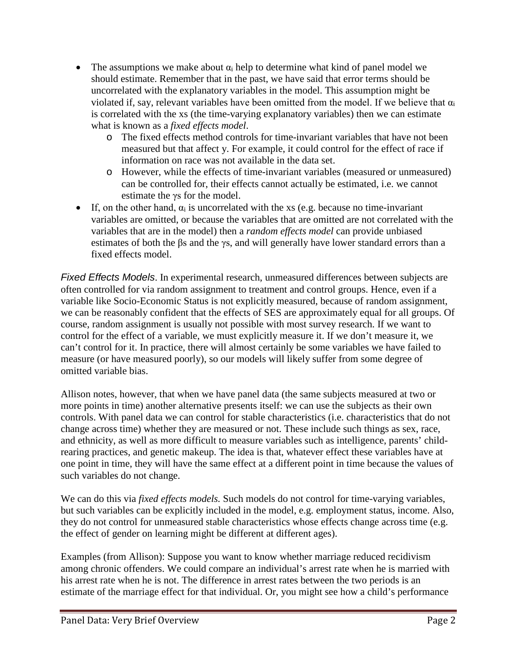- The assumptions we make about  $\alpha_i$  help to determine what kind of panel model we should estimate. Remember that in the past, we have said that error terms should be uncorrelated with the explanatory variables in the model. This assumption might be violated if, say, relevant variables have been omitted from the model. If we believe that  $\alpha_i$ is correlated with the xs (the time-varying explanatory variables) then we can estimate what is known as a *fixed effects model*.
	- o The fixed effects method controls for time-invariant variables that have not been measured but that affect y. For example, it could control for the effect of race if information on race was not available in the data set.
	- o However, while the effects of time-invariant variables (measured or unmeasured) can be controlled for, their effects cannot actually be estimated, i.e. we cannot estimate the γs for the model.
- If, on the other hand,  $\alpha_i$  is uncorrelated with the xs (e.g. because no time-invariant variables are omitted, or because the variables that are omitted are not correlated with the variables that are in the model) then a *random effects model* can provide unbiased estimates of both the βs and the γs, and will generally have lower standard errors than a fixed effects model.

*Fixed Effects Models*. In experimental research, unmeasured differences between subjects are often controlled for via random assignment to treatment and control groups. Hence, even if a variable like Socio-Economic Status is not explicitly measured, because of random assignment, we can be reasonably confident that the effects of SES are approximately equal for all groups. Of course, random assignment is usually not possible with most survey research. If we want to control for the effect of a variable, we must explicitly measure it. If we don't measure it, we can't control for it. In practice, there will almost certainly be some variables we have failed to measure (or have measured poorly), so our models will likely suffer from some degree of omitted variable bias.

Allison notes, however, that when we have panel data (the same subjects measured at two or more points in time) another alternative presents itself: we can use the subjects as their own controls. With panel data we can control for stable characteristics (i.e. characteristics that do not change across time) whether they are measured or not. These include such things as sex, race, and ethnicity, as well as more difficult to measure variables such as intelligence, parents' childrearing practices, and genetic makeup. The idea is that, whatever effect these variables have at one point in time, they will have the same effect at a different point in time because the values of such variables do not change.

We can do this via *fixed effects models.* Such models do not control for time-varying variables, but such variables can be explicitly included in the model, e.g. employment status, income. Also, they do not control for unmeasured stable characteristics whose effects change across time (e.g. the effect of gender on learning might be different at different ages).

Examples (from Allison): Suppose you want to know whether marriage reduced recidivism among chronic offenders. We could compare an individual's arrest rate when he is married with his arrest rate when he is not. The difference in arrest rates between the two periods is an estimate of the marriage effect for that individual. Or, you might see how a child's performance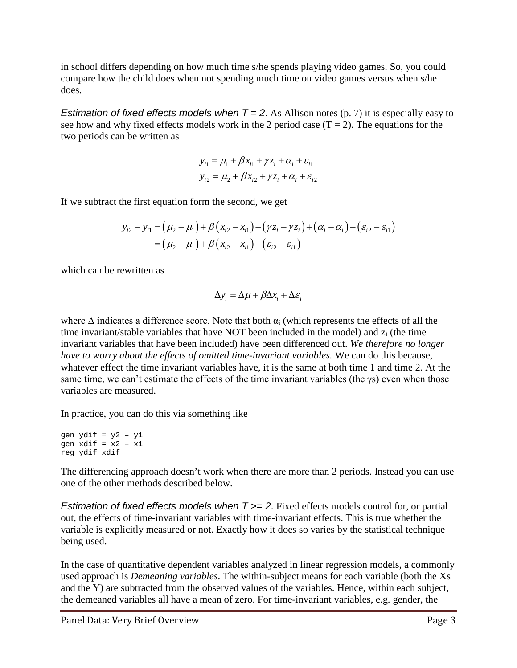in school differs depending on how much time s/he spends playing video games. So, you could compare how the child does when not spending much time on video games versus when s/he does.

*Estimation of fixed effects models when*  $T = 2$ . As Allison notes (p. 7) it is especially easy to see how and why fixed effects models work in the 2 period case  $(T = 2)$ . The equations for the two periods can be written as

$$
y_{i1} = \mu_1 + \beta x_{i1} + \gamma z_i + \alpha_i + \varepsilon_{i1}
$$
  

$$
y_{i2} = \mu_2 + \beta x_{i2} + \gamma z_i + \alpha_i + \varepsilon_{i2}
$$

If we subtract the first equation form the second, we get

$$
y_{i2} - y_{i1} = (\mu_2 - \mu_1) + \beta (x_{i2} - x_{i1}) + (\gamma z_i - \gamma z_i) + (\alpha_i - \alpha_i) + (\varepsilon_{i2} - \varepsilon_{i1})
$$
  
=  $(\mu_2 - \mu_1) + \beta (x_{i2} - x_{i1}) + (\varepsilon_{i2} - \varepsilon_{i1})$ 

which can be rewritten as

$$
\Delta y_i = \Delta \mu + \beta \Delta x_i + \Delta \varepsilon_i
$$

where  $\Delta$  indicates a difference score. Note that both  $\alpha_i$  (which represents the effects of all the time invariant/stable variables that have NOT been included in the model) and  $z_i$  (the time invariant variables that have been included) have been differenced out. *We therefore no longer have to worry about the effects of omitted time-invariant variables.* We can do this because, whatever effect the time invariant variables have, it is the same at both time 1 and time 2. At the same time, we can't estimate the effects of the time invariant variables (the γs) even when those variables are measured.

In practice, you can do this via something like

The differencing approach doesn't work when there are more than 2 periods. Instead you can use one of the other methods described below.

*Estimation of fixed effects models when T >= 2*. Fixed effects models control for, or partial out, the effects of time-invariant variables with time-invariant effects. This is true whether the variable is explicitly measured or not. Exactly how it does so varies by the statistical technique being used.

In the case of quantitative dependent variables analyzed in linear regression models, a commonly used approach is *Demeaning variables*. The within-subject means for each variable (both the Xs and the Y) are subtracted from the observed values of the variables. Hence, within each subject, the demeaned variables all have a mean of zero. For time-invariant variables, e.g. gender, the

gen ydif = y2 – y1 gen  $x$ dif =  $x2 - x1$ reg ydif xdif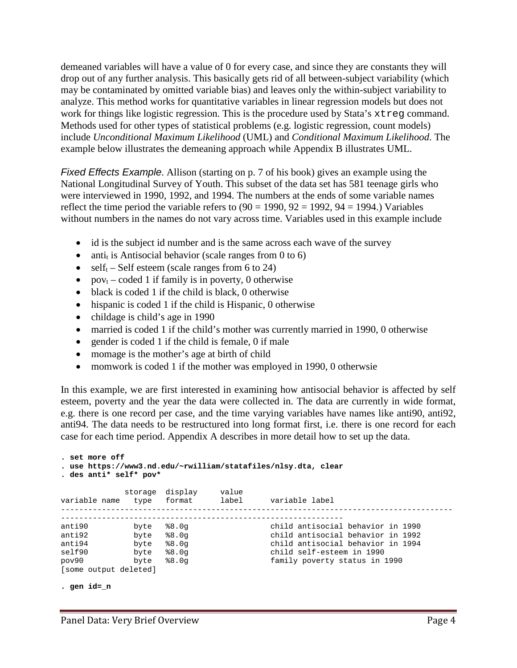demeaned variables will have a value of 0 for every case, and since they are constants they will drop out of any further analysis. This basically gets rid of all between-subject variability (which may be contaminated by omitted variable bias) and leaves only the within-subject variability to analyze. This method works for quantitative variables in linear regression models but does not work for things like logistic regression. This is the procedure used by Stata's xtreg command. Methods used for other types of statistical problems (e.g. logistic regression, count models) include *Unconditional Maximum Likelihood* (UML) and *Conditional Maximum Likelihood*. The example below illustrates the demeaning approach while Appendix B illustrates UML.

*Fixed Effects Example*. Allison (starting on p. 7 of his book) gives an example using the National Longitudinal Survey of Youth. This subset of the data set has 581 teenage girls who were interviewed in 1990, 1992, and 1994. The numbers at the ends of some variable names reflect the time period the variable refers to  $(90 = 1990, 92 = 1992, 94 = 1994)$ . Variables without numbers in the names do not vary across time. Variables used in this example include

- id is the subject id number and is the same across each wave of the survey
- antitive is Antisocial behavior (scale ranges from 0 to 6)
- self<sub>t</sub> Self esteem (scale ranges from 6 to 24)
- pov<sub>t</sub> coded 1 if family is in poverty, 0 otherwise
- black is coded 1 if the child is black, 0 otherwise
- hispanic is coded 1 if the child is Hispanic, 0 otherwise
- childage is child's age in 1990
- married is coded 1 if the child's mother was currently married in 1990, 0 otherwise
- gender is coded 1 if the child is female, 0 if male
- momage is the mother's age at birth of child
- momwork is coded 1 if the mother was employed in 1990, 0 otherwsie

In this example, we are first interested in examining how antisocial behavior is affected by self esteem, poverty and the year the data were collected in. The data are currently in wide format, e.g. there is one record per case, and the time varying variables have names like anti90, anti92, anti94. The data needs to be restructured into long format first, i.e. there is one record for each case for each time period. Appendix A describes in more detail how to set up the data.

```
. set more off
. use https://www3.nd.edu/~rwilliam/statafiles/nlsy.dta, clear
. des anti* self* pov*
           storage display value<br>type format label
variable name type format label variable label
--------------------------------------------------------------------------------------
--------------------------------------------------------------
anti90 byte $8.0g child antisocial behavior in 1990<br>anti92 byte $8.0g child antisocial behavior in 1992
anti92 byte %8.0g child antisocial behavior in 1992
anti94 byte %8.0g child antisocial behavior in 1994
self90 byte %8.0g child self-esteem in 1990
pov90 byte %8.0g family poverty status in 1990
[some output deleted]
```

```
. gen id=_n
```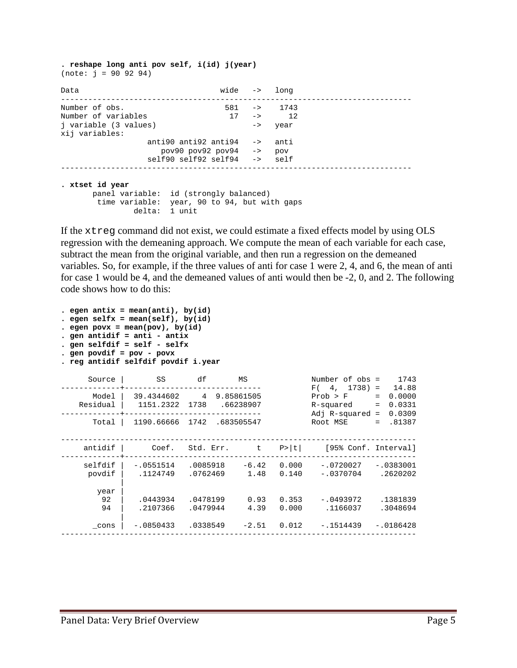**. reshape long anti pov self, i(id) j(year)** (note: j = 90 92 94)

| Data                                    |                                                                                                            | wide -> long          |      |  |
|-----------------------------------------|------------------------------------------------------------------------------------------------------------|-----------------------|------|--|
| Number of obs.                          |                                                                                                            | $581 - 5$ 1743        |      |  |
| Number of variables                     |                                                                                                            | $17 - \rightarrow 12$ |      |  |
| j variable (3 values)<br>xij variables: |                                                                                                            | $\rightarrow$         | year |  |
|                                         | anti90 anti92 anti94 $\rightarrow$ anti                                                                    |                       |      |  |
|                                         | $pov90 pov92 pov94 \rightarrow pov9$                                                                       |                       |      |  |
|                                         | $self90$ $self92$ $self94$ $\rightarrow$ $self$                                                            |                       |      |  |
| . xtset id year                         | panel variable: id (strongly balanced)<br>time variable: year, 90 to 94, but with gaps<br>1 unit<br>delta: |                       |      |  |

If the xtreg command did not exist, we could estimate a fixed effects model by using OLS regression with the demeaning approach. We compute the mean of each variable for each case, subtract the mean from the original variable, and then run a regression on the demeaned variables. So, for example, if the three values of anti for case 1 were 2, 4, and 6, the mean of anti for case 1 would be 4, and the demeaned values of anti would then be -2, 0, and 2. The following code shows how to do this:

| . egen antix = mean(anti), by(id)<br>. egen selfx = $mean(self)$ , by $(id)$<br>eqen povx = mean(pov), by(id)<br>. gen antidif = anti - antix<br>. gen selfdif = self - selfx<br>. gen povdif = $pov - povx$<br>. reg antidif selfdif povdif i.year |                                                     |                              |                        |       |                                                                                                              |                      |  |  |  |  |  |
|-----------------------------------------------------------------------------------------------------------------------------------------------------------------------------------------------------------------------------------------------------|-----------------------------------------------------|------------------------------|------------------------|-------|--------------------------------------------------------------------------------------------------------------|----------------------|--|--|--|--|--|
| Source                                                                                                                                                                                                                                              | SS S                                                | df                           | ΜS                     |       | Number of $obs = 1743$                                                                                       |                      |  |  |  |  |  |
| Model<br>Residual                                                                                                                                                                                                                                   | 39.4344602 4 9.85861505<br>1151.2322 1738 .66238907 |                              |                        |       | $F(4, 1738) = 14.88$<br>$Prob > F$ = 0.0000<br>$R$ -squared = $0.0331$<br>Adj R-squared = $0.0309$           |                      |  |  |  |  |  |
| Total                                                                                                                                                                                                                                               | 1190.66666 1742 .683505547                          |                              |                        |       | Root MSE                                                                                                     | $= .81387$           |  |  |  |  |  |
| antidif                                                                                                                                                                                                                                             |                                                     | Coef. Std. Err. $t$ P> $ t $ |                        |       | [95% Conf. Interval]                                                                                         |                      |  |  |  |  |  |
| selfdif<br>povdif                                                                                                                                                                                                                                   |                                                     |                              |                        |       | $-.0551514$ $.0085918$ $-6.42$ 0.000 $-.0720027$ $-.0383001$<br>$.1124749$ $.0762469$ $1.48$ 0.140 -.0370704 | .2620202             |  |  |  |  |  |
| year<br>92<br>94                                                                                                                                                                                                                                    | .0443934.0478199<br>.2107366 .0479944               |                              | $0.93$ $0.353$<br>4.39 | 0.000 | -.0493972<br>.1166037                                                                                        | .1381839<br>.3048694 |  |  |  |  |  |
| cons                                                                                                                                                                                                                                                | $-.0850433$                                         | .0338549                     | $-2.51$ 0.012          |       | -.1514439                                                                                                    | $-.0186428$          |  |  |  |  |  |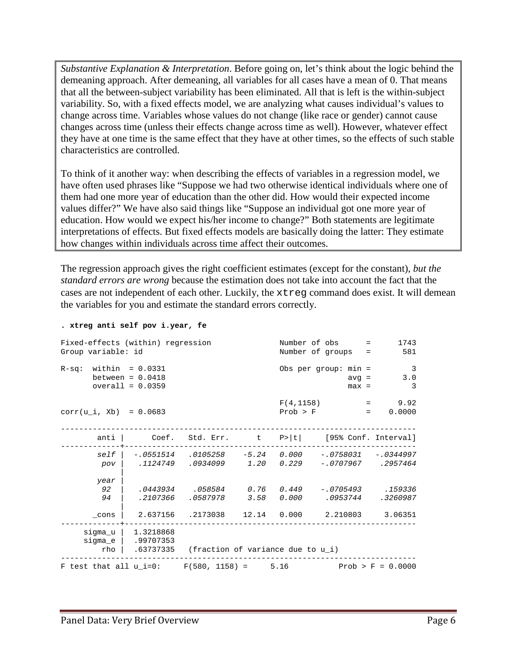*Substantive Explanation & Interpretation*. Before going on, let's think about the logic behind the demeaning approach. After demeaning, all variables for all cases have a mean of 0. That means that all the between-subject variability has been eliminated. All that is left is the within-subject variability. So, with a fixed effects model, we are analyzing what causes individual's values to change across time. Variables whose values do not change (like race or gender) cannot cause changes across time (unless their effects change across time as well). However, whatever effect they have at one time is the same effect that they have at other times, so the effects of such stable characteristics are controlled.

To think of it another way: when describing the effects of variables in a regression model, we have often used phrases like "Suppose we had two otherwise identical individuals where one of them had one more year of education than the other did. How would their expected income values differ?" We have also said things like "Suppose an individual got one more year of education. How would we expect his/her income to change?" Both statements are legitimate interpretations of effects. But fixed effects models are basically doing the latter: They estimate how changes within individuals across time affect their outcomes.

The regression approach gives the right coefficient estimates (except for the constant), *but the standard errors are wrong* because the estimation does not take into account the fact that the cases are not independent of each other. Luckily, the xtreg command does exist. It will demean the variables for you and estimate the standard errors correctly.

#### **. xtreg anti self pov i.year, fe**

| Fixed-effects (within) regression<br>Group variable: id         |                                                                                                |                                                  | Number of obs =<br>Number of groups = |          | 1743<br>581            |                      |                                       |
|-----------------------------------------------------------------|------------------------------------------------------------------------------------------------|--------------------------------------------------|---------------------------------------|----------|------------------------|----------------------|---------------------------------------|
| $R-sq$ : within = 0.0331                                        | between = $0.0418$<br>$overall = 0.0359$                                                       |                                                  |                                       |          | Obs per group: $min =$ | $max =$              | $\overline{3}$<br>3.0<br>$avg =$<br>3 |
| $corr(u i, Xb) = 0.0683$                                        |                                                                                                |                                                  |                                       | Prob > F |                        | and the most control | $F(4, 1158) = 9.92$<br>0.0000         |
|                                                                 | anti   Coef. Std. Err. t P> t  [95% Conf. Interval]                                            |                                                  |                                       |          |                        |                      |                                       |
| pov                                                             | self   -.0551514 .0105258 -5.24 0.000 -.0758031 -.0344997                                      |                                                  |                                       |          |                        |                      |                                       |
| year<br>92<br>94                                                |                                                                                                | .2107366 .0587978 3.58                           |                                       |          | $0.000$ .0953744       |                      | .3260987                              |
| cons<br>rho l                                                   | 2.637156 .2173038 12.14 0.000 2.210803 3.06351<br>$sigma_u   1.3218868$<br>sigma_e   .99707353 | $.63737335$ (fraction of variance due to $u_i$ ) |                                       |          |                        |                      |                                       |
| F test that all $u_i=0$ : F(580, 1158) = 5.16 Prob > F = 0.0000 |                                                                                                |                                                  |                                       |          |                        |                      |                                       |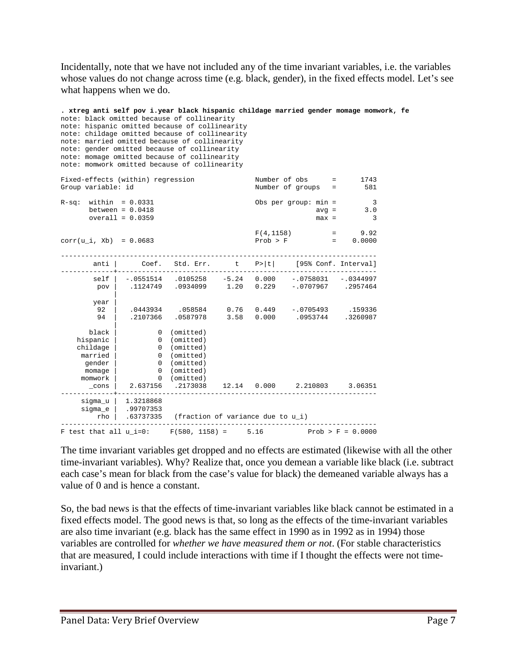Incidentally, note that we have not included any of the time invariant variables, i.e. the variables whose values do not change across time (e.g. black, gender), in the fixed effects model. Let's see what happens when we do.

| note: childage omitted because of collinearity<br>note: married omitted because of collinearity<br>note: gender omitted because of collinearity<br>note: momage omitted because of collinearity<br>note: momwork omitted because of collinearity |                                                              |                                                                                                             |      |                                  |                                       |                                                            |  |
|--------------------------------------------------------------------------------------------------------------------------------------------------------------------------------------------------------------------------------------------------|--------------------------------------------------------------|-------------------------------------------------------------------------------------------------------------|------|----------------------------------|---------------------------------------|------------------------------------------------------------|--|
| Fixed-effects (within) regression<br>Group variable: id                                                                                                                                                                                          |                                                              |                                                                                                             |      |                                  | Number of obs =<br>Number of groups = | 1743<br>581                                                |  |
| $R-sq$ : within = 0.0331                                                                                                                                                                                                                         | between = $0.0418$<br>overall = $0.0359$                     |                                                                                                             |      |                                  | Obs per group: $min =$                | $\overline{\phantom{a}}$<br>$avg =$<br>3.0<br>3<br>$max =$ |  |
| $corr(u_i, Xb) = 0.0683$                                                                                                                                                                                                                         |                                                              |                                                                                                             |      | F(4, 1158)<br>Prob > F           |                                       | $=$ 9.92<br>$= 0.0000$                                     |  |
| anti                                                                                                                                                                                                                                             |                                                              | Coef. Std. Err.                                                                                             |      |                                  |                                       | t P> t  [95% Conf. Interval]                               |  |
| self<br>pov                                                                                                                                                                                                                                      | -.0551514                                                    | .0105258<br>.1124749 .0934099                                                                               |      | $-5.24$ 0.000<br>$1.20 \t 0.229$ | $-.0758031$<br>$-.0707967$            | $-.0344997$<br>.2957464                                    |  |
| year<br>92<br>94                                                                                                                                                                                                                                 |                                                              | .0443934 .058584<br>.2107366 .0587978                                                                       | 3.58 | 0.000                            | $0.76$ $0.449$ $-0.0705493$           | .159336<br>.0953744 .3260987                               |  |
| black<br>hispanic<br>childage<br>married<br>gender<br>momage<br>momwork<br>$\_cons$                                                                                                                                                              | $\overline{0}$<br>$\mathbf{0}$<br>$\overline{0}$<br>2.637156 | 0 (omitted)<br>0 (omitted)<br>0 (omitted)<br>0 (omitted)<br>(omitted)<br>(omitted)<br>(omitted)<br>.2173038 |      | 12.14 0.000                      | 2.210803                              | 3.06351                                                    |  |
| sigma_u  <br>sigma_e<br>rho                                                                                                                                                                                                                      | 1.3218868<br>.99707353                                       | $.63737335$ (fraction of variance due to $u_i$ )                                                            |      |                                  |                                       |                                                            |  |
| $F$ test that all $u$ i=0:                                                                                                                                                                                                                       |                                                              | $F(580, 1158) =$                                                                                            | 5.16 |                                  |                                       | $Prob > F = 0.0000$                                        |  |

The time invariant variables get dropped and no effects are estimated (likewise with all the other time-invariant variables). Why? Realize that, once you demean a variable like black (i.e. subtract each case's mean for black from the case's value for black) the demeaned variable always has a value of 0 and is hence a constant.

So, the bad news is that the effects of time-invariant variables like black cannot be estimated in a fixed effects model. The good news is that, so long as the effects of the time-invariant variables are also time invariant (e.g. black has the same effect in 1990 as in 1992 as in 1994) those variables are controlled for *whether we have measured them or not*. (For stable characteristics that are measured, I could include interactions with time if I thought the effects were not timeinvariant.)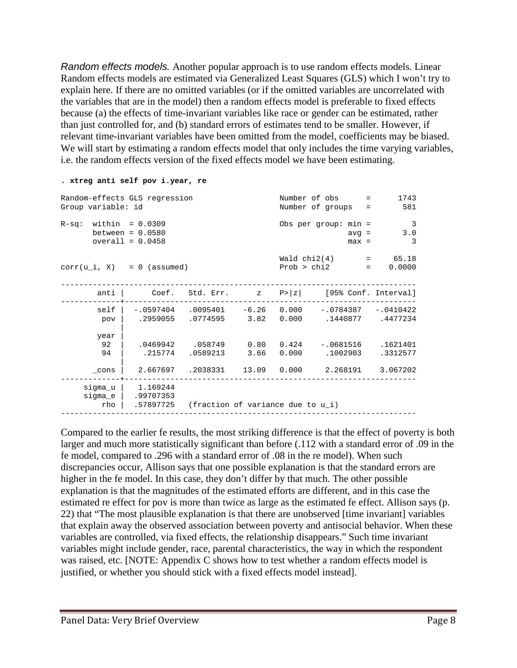*Random effects models.* Another popular approach is to use random effects models. Linear Random effects models are estimated via Generalized Least Squares (GLS) which I won't try to explain here. If there are no omitted variables (or if the omitted variables are uncorrelated with the variables that are in the model) then a random effects model is preferable to fixed effects because (a) the effects of time-invariant variables like race or gender can be estimated, rather than just controlled for, and (b) standard errors of estimates tend to be smaller. However, if relevant time-invariant variables have been omitted from the model, coefficients may be biased. We will start by estimating a random effects model that only includes the time varying variables, i.e. the random effects version of the fixed effects model we have been estimating.

#### **. xtreg anti self pov i.year, re**

| Random-effects GLS regression<br>Group variable: id |                                                                                                            | Number of obs =<br>Number of groups =            | 1743<br>581                          |                                                                                        |            |
|-----------------------------------------------------|------------------------------------------------------------------------------------------------------------|--------------------------------------------------|--------------------------------------|----------------------------------------------------------------------------------------|------------|
| $R-sq$ : within = 0.0309                            | between = $0.0580$<br>$overall = 0.0458$                                                                   | Obs per group: $min =$<br>$avg =$<br>$max =$     | $\overline{\phantom{a}}$<br>3.0<br>3 |                                                                                        |            |
| $corr(u_i, X) = 0$ (assumed)                        |                                                                                                            |                                                  |                                      | $Wald chi2(4) = 65.18$<br>Prob > chi2                                                  | $= 0.0000$ |
|                                                     | anti   $Coef. Std. Err.$ $z$ $P> z $ [95% Conf. Interval]                                                  |                                                  |                                      |                                                                                        |            |
| pov                                                 | self   -.0597404 .0095401 -6.26 0.000 -.0784387 -.0410422<br>.2959055 .0774595 .82 0.000 .1440877 .4477234 |                                                  |                                      |                                                                                        |            |
| year<br>92<br>94                                    |                                                                                                            |                                                  |                                      | .0469942 .058749 0.80 0.424 -.0681516 .1621401<br>.215774 .0589213 3.66 0.000 .1002903 | .3312577   |
| $\_cons$                                            |                                                                                                            |                                                  |                                      | 2.667697 .2038331 13.09 0.000 2.268191 3.067202                                        |            |
| rho                                                 | $sigma_u$   1.169244<br>sigma_e   .99707353                                                                | $.57897725$ (fraction of variance due to $u_i$ ) |                                      |                                                                                        |            |

Compared to the earlier fe results, the most striking difference is that the effect of poverty is both larger and much more statistically significant than before (.112 with a standard error of .09 in the fe model, compared to .296 with a standard error of .08 in the re model). When such discrepancies occur, Allison says that one possible explanation is that the standard errors are higher in the fe model. In this case, they don't differ by that much. The other possible explanation is that the magnitudes of the estimated efforts are different, and in this case the estimated re effect for pov is more than twice as large as the estimated fe effect. Allison says (p. 22) that "The most plausible explanation is that there are unobserved [time invariant] variables that explain away the observed association between poverty and antisocial behavior. When these variables are controlled, via fixed effects, the relationship disappears." Such time invariant variables might include gender, race, parental characteristics, the way in which the respondent was raised, etc. [NOTE: Appendix C shows how to test whether a random effects model is justified, or whether you should stick with a fixed effects model instead].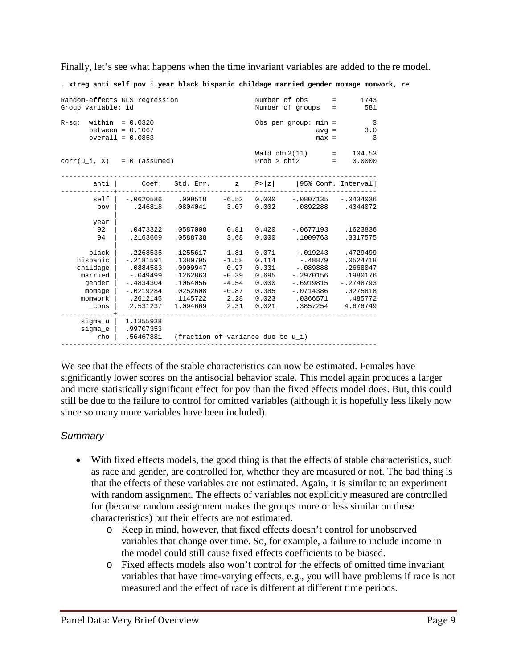Finally, let's see what happens when the time invariant variables are added to the re model.

**. xtreg anti self pov i.year black hispanic childage married gender momage momwork, re**

| Random-effects GLS regression<br>Group variable: id                                                                  |                                                                                                         | Number of obs                                                                                | $=$<br>Number of groups<br>$=$                                           | 1743<br>581                                                          |                                                                                                           |                                                                                                |  |  |  |  |  |
|----------------------------------------------------------------------------------------------------------------------|---------------------------------------------------------------------------------------------------------|----------------------------------------------------------------------------------------------|--------------------------------------------------------------------------|----------------------------------------------------------------------|-----------------------------------------------------------------------------------------------------------|------------------------------------------------------------------------------------------------|--|--|--|--|--|
| $R-sq$ : within = 0.0320<br>Obs per group: $min =$<br>between = $0.1067$<br>$avg =$<br>$overall = 0.0853$<br>$max =$ |                                                                                                         |                                                                                              |                                                                          |                                                                      |                                                                                                           |                                                                                                |  |  |  |  |  |
| Wald chi2(11)<br>$=$<br>Prob > chi2<br>$corr(u_i, X) = 0$ (assumed)<br>$=$ $-$                                       |                                                                                                         |                                                                                              |                                                                          |                                                                      |                                                                                                           |                                                                                                |  |  |  |  |  |
| anti                                                                                                                 | Coef.                                                                                                   | Std. Err.                                                                                    | $\,$ Z                                                                   | P >  z                                                               | [95% Conf. Interval]                                                                                      |                                                                                                |  |  |  |  |  |
| self<br>pov<br>year                                                                                                  | .246818                                                                                                 | $-.0620586$ .009518<br>$.0804041$ 3.07                                                       |                                                                          | $-6.52$ 0.000                                                        | $-.0807135$<br>0.002 .0892288 .4044072                                                                    | $-.0434036$                                                                                    |  |  |  |  |  |
| 92<br>94                                                                                                             | .0473322<br>.2163669                                                                                    | .0587008<br>.0588738                                                                         | 0.81<br>3.68                                                             | 0.420<br>0.000                                                       | $-.0677193$<br>.1009763                                                                                   | .1623836<br>.3317575                                                                           |  |  |  |  |  |
| black<br>hispanic<br>childage<br>married<br>gender<br>momage<br>momwork<br>$\_cons$                                  | .2268535<br>$-.2181591$<br>.0884583<br>$-.049499$<br>$-.4834304$<br>$-.0219284$<br>.2612145<br>2.531237 | .1255617<br>.1380795<br>.0909947<br>.1262863<br>.1064056<br>.0252608<br>.1145722<br>1.094669 | 1.81<br>$-1.58$<br>0.97<br>$-0.39$<br>$-4.54$<br>$-0.87$<br>2.28<br>2.31 | 0.071<br>0.114<br>0.331<br>0.695<br>0.000<br>0.385<br>0.023<br>0.021 | $-019243$<br>$-.48879$<br>$-.089888$<br>$-.2970156$<br>$-.6919815$<br>$-.0714386$<br>.0366571<br>.3857254 | .4729499<br>.0524718<br>.2668047<br>.1980176<br>$-.2748793$<br>.0275818<br>.485772<br>4.676749 |  |  |  |  |  |
| sigma_u<br>sigma_e<br>rho                                                                                            | 1.1355938<br>.99707353<br>.56467881                                                                     | (fraction of variance due to u_i)                                                            |                                                                          |                                                                      |                                                                                                           |                                                                                                |  |  |  |  |  |

We see that the effects of the stable characteristics can now be estimated. Females have significantly lower scores on the antisocial behavior scale. This model again produces a larger and more statistically significant effect for pov than the fixed effects model does. But, this could still be due to the failure to control for omitted variables (although it is hopefully less likely now since so many more variables have been included).

## *Summary*

- With fixed effects models, the good thing is that the effects of stable characteristics, such as race and gender, are controlled for, whether they are measured or not. The bad thing is that the effects of these variables are not estimated. Again, it is similar to an experiment with random assignment. The effects of variables not explicitly measured are controlled for (because random assignment makes the groups more or less similar on these characteristics) but their effects are not estimated.
	- o Keep in mind, however, that fixed effects doesn't control for unobserved variables that change over time. So, for example, a failure to include income in the model could still cause fixed effects coefficients to be biased.
	- o Fixed effects models also won't control for the effects of omitted time invariant variables that have time-varying effects, e.g., you will have problems if race is not measured and the effect of race is different at different time periods.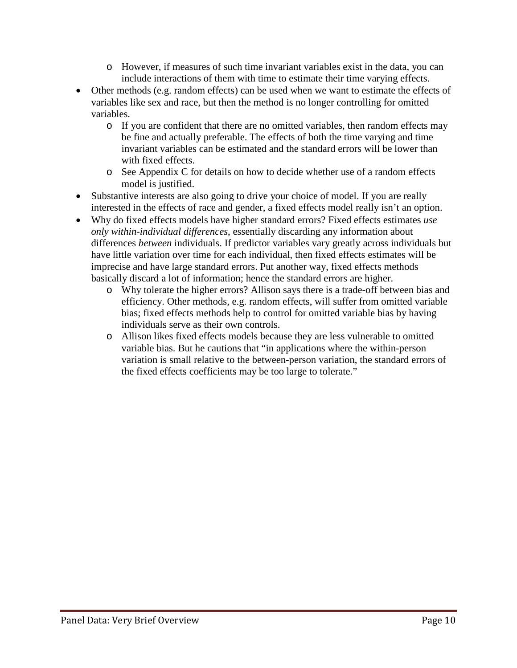- o However, if measures of such time invariant variables exist in the data, you can include interactions of them with time to estimate their time varying effects.
- Other methods (e.g. random effects) can be used when we want to estimate the effects of variables like sex and race, but then the method is no longer controlling for omitted variables.
	- o If you are confident that there are no omitted variables, then random effects may be fine and actually preferable. The effects of both the time varying and time invariant variables can be estimated and the standard errors will be lower than with fixed effects.
	- o See Appendix C for details on how to decide whether use of a random effects model is justified.
- Substantive interests are also going to drive your choice of model. If you are really interested in the effects of race and gender, a fixed effects model really isn't an option.
- Why do fixed effects models have higher standard errors? Fixed effects estimates *use only within-individual differences*, essentially discarding any information about differences *between* individuals. If predictor variables vary greatly across individuals but have little variation over time for each individual, then fixed effects estimates will be imprecise and have large standard errors. Put another way, fixed effects methods basically discard a lot of information; hence the standard errors are higher.
	- o Why tolerate the higher errors? Allison says there is a trade-off between bias and efficiency. Other methods, e.g. random effects, will suffer from omitted variable bias; fixed effects methods help to control for omitted variable bias by having individuals serve as their own controls.
	- o Allison likes fixed effects models because they are less vulnerable to omitted variable bias. But he cautions that "in applications where the within-person variation is small relative to the between-person variation, the standard errors of the fixed effects coefficients may be too large to tolerate."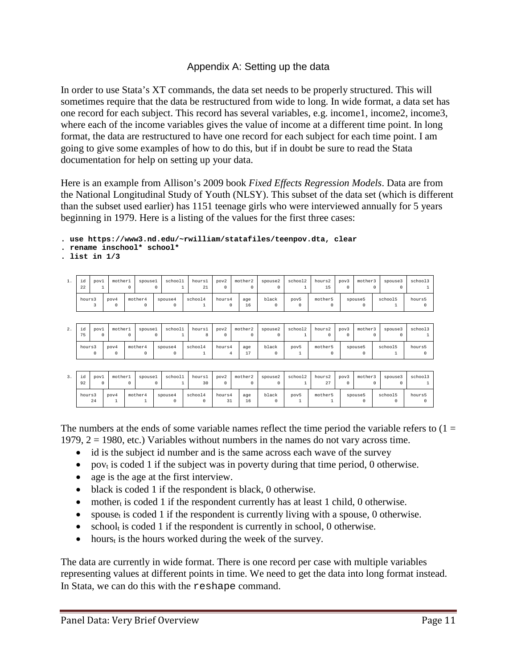## Appendix A: Setting up the data

In order to use Stata's XT commands, the data set needs to be properly structured. This will sometimes require that the data be restructured from wide to long. In wide format, a data set has one record for each subject. This record has several variables, e.g. income1, income2, income3, where each of the income variables gives the value of income at a different time point. In long format, the data are restructured to have one record for each subject for each time point. I am going to give some examples of how to do this, but if in doubt be sure to read the Stata documentation for help on setting up your data.

Here is an example from Allison's 2009 book *Fixed Effects Regression Models*. Data are from the National Longitudinal Study of Youth (NLSY). This subset of the data set (which is different than the subset used earlier) has 1151 teenage girls who were interviewed annually for 5 years beginning in 1979. Here is a listing of the values for the first three cases:

**. use https://www3.nd.edu/~rwilliam/statafiles/teenpov.dta, clear**

**. rename inschool\* school\***

**. list in 1/3**

| 1. | id<br>22 | pov1             | mother1          | $\Omega$ | spouse1               | school1<br>0        |   | hours1<br>21 | pov2<br>$\Omega$         | mother2<br>$\Omega$ | spouse2<br>$\Omega$ | school2<br>1            | hours2<br>15          | pov3<br>O        | mother3             | $\Omega$ | spouse3<br>0            | school3           |
|----|----------|------------------|------------------|----------|-----------------------|---------------------|---|--------------|--------------------------|---------------------|---------------------|-------------------------|-----------------------|------------------|---------------------|----------|-------------------------|-------------------|
|    | hours3   | 3                | pov4<br>$\Omega$ |          | mother4<br>$^{\circ}$ | spouse4<br>$\circ$  |   | school4      | hours4<br>$\Omega$       | age<br>16           | black<br>$\Omega$   | pov5<br>O               | mother5<br>$\Omega$   |                  | spouse5<br>0        |          | school5<br>$\mathbf{1}$ | hours5<br>$\circ$ |
|    |          |                  |                  |          |                       |                     |   |              |                          |                     |                     |                         |                       |                  |                     |          |                         |                   |
| 2. | id<br>75 | pov1<br>$\Omega$ | mother1          | $\Omega$ | spouse1               | school1<br>0        |   | hours1<br>8  | pov2<br>$\Omega$         | mother2<br>$\Omega$ | spouse2<br>$\Omega$ | school2<br>$\mathbf{1}$ | hours2<br>$\Omega$    | pov3<br>$\Omega$ | mother3             | 0        | spouse3<br>$\Omega$     | school3           |
|    | hours3   | $\Omega$         | pov4<br>0        |          | mother4<br>0          | spouse4<br>$\Omega$ |   | school4      | hours4<br>$\overline{4}$ | age<br>17           | black<br>$\circ$    | pov5                    | mother5<br>$^{\circ}$ |                  | spouse5<br>$\Omega$ |          | school5<br>$\mathbf{1}$ | hours5<br>0       |
|    |          |                  |                  |          |                       |                     |   |              |                          |                     |                     |                         |                       |                  |                     |          |                         |                   |
| 3. | id<br>92 | pov1<br>$\circ$  | mother1          | $\Omega$ | spouse1               | school1<br>0        | 1 | hours1<br>30 | pov2<br>$^{\circ}$       | mother2<br>$\circ$  | spouse2<br>$\Omega$ | school2<br>1            | hours2<br>27          | pov3<br>$\Omega$ | mother3             | 0        | spouse3<br>0            | school3           |
|    | hours3   |                  | pov4             |          | mother4               | spouse4             |   | school4      | hours4                   | age                 | black               | pov5                    | mother5               |                  | spouse5             |          | school5                 | hours5            |

The numbers at the ends of some variable names reflect the time period the variable refers to  $(1 =$ 1979,  $2 = 1980$ , etc.) Variables without numbers in the names do not vary across time.

24 | 1 | 1 | 0 | 0 | 31 | 16 | 0 | 1 | 1 | 0 | 0 | 0

- id is the subject id number and is the same across each wave of the survey
- pov<sub>t</sub> is coded 1 if the subject was in poverty during that time period, 0 otherwise.
- age is the age at the first interview.
- black is coded 1 if the respondent is black, 0 otherwise.
- mother<sub>t</sub> is coded 1 if the respondent currently has at least 1 child, 0 otherwise.
- spouse<sub>t</sub> is coded 1 if the respondent is currently living with a spouse, 0 otherwise.
- schoolt is coded 1 if the respondent is currently in school, 0 otherwise.
- hours<sub>t</sub> is the hours worked during the week of the survey.

The data are currently in wide format. There is one record per case with multiple variables representing values at different points in time. We need to get the data into long format instead. In Stata, we can do this with the reshape command.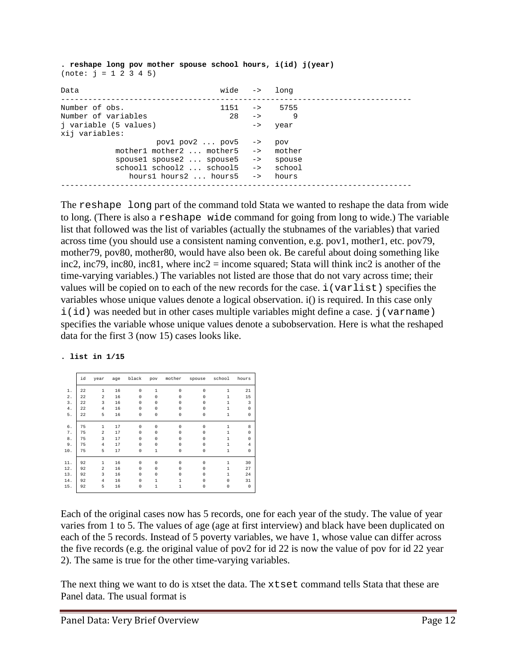**. reshape long pov mother spouse school hours, i(id) j(year)**  $(note: j = 1 2 3 4 5)$ 

| Data                                                                                                                                                   | wide -> long                                                   |                                                             |  |
|--------------------------------------------------------------------------------------------------------------------------------------------------------|----------------------------------------------------------------|-------------------------------------------------------------|--|
| Number of obs.<br>Number of variables<br>j variable (5 values)<br>xij variables:                                                                       | $1151 - \rightarrow 5755$<br>$28 \rightarrow$<br>$\rightarrow$ | 9<br>year                                                   |  |
| $pov1 pov2  pov5 ->$<br>mother1 mother2  mother5<br>spousel spouse2  spouse5<br>schooll school2  school5<br>hours1 hours2 $\dots$ hours5 $\rightarrow$ | $\rightarrow$                                                  | pov<br>-> mother<br>spouse<br>$\rightarrow$ school<br>hours |  |

The reshape long part of the command told Stata we wanted to reshape the data from wide to long. (There is also a reshape wide command for going from long to wide.) The variable list that followed was the list of variables (actually the stubnames of the variables) that varied across time (you should use a consistent naming convention, e.g. pov1, mother1, etc. pov79, mother79, pov80, mother80, would have also been ok. Be careful about doing something like inc2, inc79, inc80, inc81, where inc2 = income squared; Stata will think inc2 is another of the time-varying variables.) The variables not listed are those that do not vary across time; their values will be copied on to each of the new records for the case. i(varlist) specifies the variables whose unique values denote a logical observation. i() is required. In this case only i(id) was needed but in other cases multiple variables might define a case.  $\overline{j}$  (varname) specifies the variable whose unique values denote a subobservation. Here is what the reshaped data for the first 3 (now 15) cases looks like.

#### **. list in 1/15**

|           | id | year           | age | black    | pov          | mother      | spouse      | school       | hours       |
|-----------|----|----------------|-----|----------|--------------|-------------|-------------|--------------|-------------|
| 1.        | 22 | $\mathbf{1}$   | 16  | $\Omega$ | $\mathbf{1}$ | $\Omega$    | $\Omega$    | $\mathbf{1}$ | 21          |
| $2$ .     | 22 | $\overline{a}$ | 16  | $\Omega$ | $\Omega$     | $\Omega$    | $\Omega$    | 1            | 15          |
| 3.        | 22 | 3              | 16  | $\Omega$ | $\Omega$     | $\Omega$    | $\Omega$    | 1            | 3           |
| $4$ .     | 22 | $\overline{4}$ | 16  | $\Omega$ | $\Omega$     | $\Omega$    | $\Omega$    | $\mathbf{1}$ | $\mathbf 0$ |
| 5.        | 22 | 5              | 16  | $\circ$  | 0            | $\mathbf 0$ | $\mathbf 0$ | $\mathbf{1}$ | 0           |
| б.        | 75 | 1              | 17  | $\Omega$ | $\Omega$     | $\Omega$    | $\Omega$    | 1            | 8           |
| $7$ .     | 75 | $\overline{a}$ | 17  | $\Omega$ | $\Omega$     | $\Omega$    | $\Omega$    | 1            | $\Omega$    |
| $\bf 8$ . | 75 | 3              | 17  | $\Omega$ | $\Omega$     | $\Omega$    | 0           | 1            | $\Omega$    |
|           |    |                |     |          |              |             |             |              |             |
| 9.        | 75 | $\overline{4}$ | 17  | $\Omega$ | $\Omega$     | $\Omega$    | $\Omega$    | $\mathbf{1}$ | 4           |
| 10.       | 75 | 5              | 17  | $\circ$  | $\mathbf{1}$ | $\mathbf 0$ | $\Omega$    | $\mathbf{1}$ | $\mathbf 0$ |
| 11.       | 92 | $\mathbf{1}$   | 16  | $\Omega$ | $\Omega$     | $\Omega$    | $\Omega$    | 1            | 30          |
| 12.       | 92 | $\overline{a}$ | 16  | $\Omega$ | n            | $\Omega$    | U           | 1            | 27          |
| 13.       | 92 | 3              | 16  | $\Omega$ | $\Omega$     | $\Omega$    | 0           | 1            | 24          |
| 14.       | 92 | $\overline{4}$ | 16  | $\Omega$ | 1            | 1           | $\Omega$    | 0            | 31          |
| 15.       | 92 | 5              | 16  | $\circ$  | 1            | 1           | $\Omega$    | $\mathbf 0$  | $\mathbf 0$ |

Each of the original cases now has 5 records, one for each year of the study. The value of year varies from 1 to 5. The values of age (age at first interview) and black have been duplicated on each of the 5 records. Instead of 5 poverty variables, we have 1, whose value can differ across the five records (e.g. the original value of pov2 for id 22 is now the value of pov for id 22 year 2). The same is true for the other time-varying variables.

The next thing we want to do is xtset the data. The xtset command tells Stata that these are Panel data. The usual format is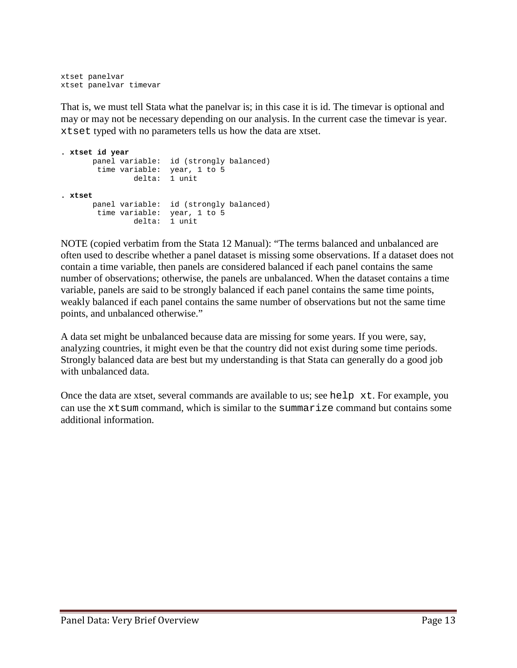xtset panelvar xtset panelvar timevar

That is, we must tell Stata what the panelvar is; in this case it is id. The timevar is optional and may or may not be necessary depending on our analysis. In the current case the timevar is year. xtset typed with no parameters tells us how the data are xtset.

```
. xtset id year
 panel variable: id (strongly balanced)
 time variable: year, 1 to 5
 delta: 1 unit
. xtset
 panel variable: id (strongly balanced)
 time variable: year, 1 to 5
 delta: 1 unit
```
NOTE (copied verbatim from the Stata 12 Manual): "The terms balanced and unbalanced are often used to describe whether a panel dataset is missing some observations. If a dataset does not contain a time variable, then panels are considered balanced if each panel contains the same number of observations; otherwise, the panels are unbalanced. When the dataset contains a time variable, panels are said to be strongly balanced if each panel contains the same time points, weakly balanced if each panel contains the same number of observations but not the same time points, and unbalanced otherwise."

A data set might be unbalanced because data are missing for some years. If you were, say, analyzing countries, it might even be that the country did not exist during some time periods. Strongly balanced data are best but my understanding is that Stata can generally do a good job with unbalanced data.

Once the data are xtset, several commands are available to us; see help xt. For example, you can use the  $x$ t sum command, which is similar to the summarize command but contains some additional information.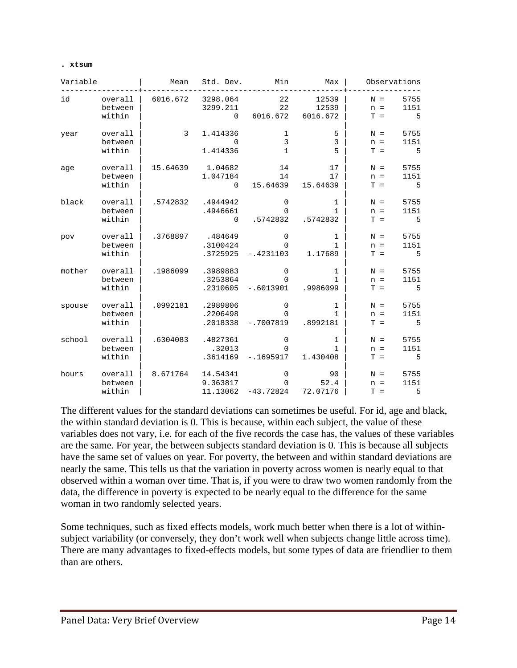#### **. xtsum**

| Variable |                              | Mean     | Std. Dev.                           | Min                                    | Max                           | Observations                                 |
|----------|------------------------------|----------|-------------------------------------|----------------------------------------|-------------------------------|----------------------------------------------|
| id       | overall<br>between<br>within | 6016.672 | 3298.064<br>3299.211<br>$\Omega$    | 22<br>22<br>6016.672                   | 12539<br>12539<br>6016.672    | 5755<br>$N =$<br>1151<br>$n =$<br>5<br>$T =$ |
| year     | overall<br>between<br>within | 3        | 1.414336<br>$\Omega$<br>1.414336    | 1<br>$\overline{3}$<br>$\mathbf{1}$    | 5<br>$\overline{3}$<br>5      | 5755<br>$N =$<br>1151<br>$n =$<br>5<br>$T =$ |
| age      | overall<br>between<br>within | 15.64639 | 1.04682<br>1.047184<br>$\Omega$     | 14<br>14<br>15.64639                   | 17<br>17<br>15.64639          | 5755<br>$N =$<br>1151<br>$n =$<br>$T =$<br>5 |
| black    | overall<br>between<br>within | .5742832 | .4944942<br>.4946661<br>$\mathbf 0$ | 0<br>$\Omega$<br>.5742832              | 1<br>1<br>.5742832            | 5755<br>$N =$<br>1151<br>$n =$<br>5<br>$T =$ |
| pov      | overall<br>between<br>within | .3768897 | .484649<br>.3100424<br>.3725925     | 0<br>$\Omega$<br>$-.4231103$           | 1<br>1<br>1.17689             | 5755<br>$N =$<br>1151<br>$n =$<br>$T =$<br>5 |
| mother   | overall<br>between<br>within | .1986099 | .3989883<br>.3253864<br>.2310605    | 0<br>$\Omega$<br>$-.6013901$           | 1<br>$\mathbf{1}$<br>.9986099 | 5755<br>$N =$<br>1151<br>$n =$<br>$T =$<br>5 |
| spouse   | overall<br>between<br>within | .0992181 | .2989806<br>.2206498<br>.2018338    | $\mathbf 0$<br>0<br>$-.7007819$        | 1<br>1<br>.8992181            | 5755<br>$N =$<br>1151<br>$n =$<br>5<br>$T =$ |
| school   | overall<br>between<br>within | .6304083 | .4827361<br>.32013<br>.3614169      | 0<br>0<br>$-.1695917$                  | 1<br>1<br>1.430408            | 5755<br>$N =$<br>1151<br>$n =$<br>5<br>$T =$ |
| hours    | overall<br>between<br>within | 8.671764 | 14.54341<br>9.363817<br>11.13062    | $\mathbf 0$<br>$\Omega$<br>$-43.72824$ | 90<br>52.4<br>72.07176        | 5755<br>$N =$<br>1151<br>$n =$<br>5<br>$T =$ |

The different values for the standard deviations can sometimes be useful. For id, age and black, the within standard deviation is 0. This is because, within each subject, the value of these variables does not vary, i.e. for each of the five records the case has, the values of these variables are the same. For year, the between subjects standard deviation is 0. This is because all subjects have the same set of values on year. For poverty, the between and within standard deviations are nearly the same. This tells us that the variation in poverty across women is nearly equal to that observed within a woman over time. That is, if you were to draw two women randomly from the data, the difference in poverty is expected to be nearly equal to the difference for the same woman in two randomly selected years.

Some techniques, such as fixed effects models, work much better when there is a lot of withinsubject variability (or conversely, they don't work well when subjects change little across time). There are many advantages to fixed-effects models, but some types of data are friendlier to them than are others.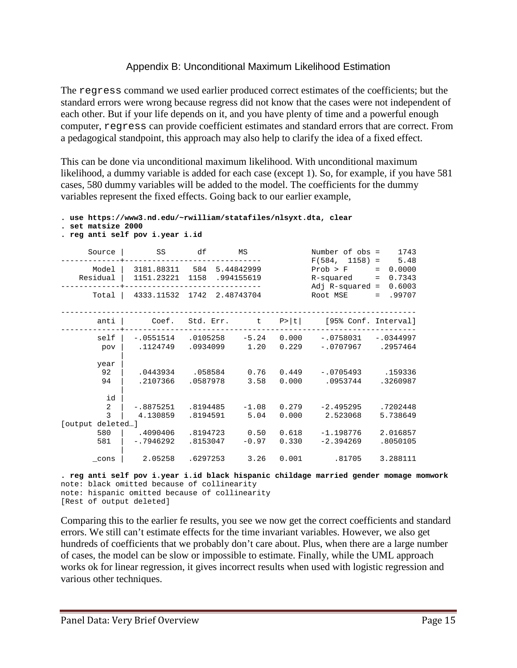## Appendix B: Unconditional Maximum Likelihood Estimation

The regress command we used earlier produced correct estimates of the coefficients; but the standard errors were wrong because regress did not know that the cases were not independent of each other. But if your life depends on it, and you have plenty of time and a powerful enough computer, regress can provide coefficient estimates and standard errors that are correct. From a pedagogical standpoint, this approach may also help to clarify the idea of a fixed effect.

This can be done via unconditional maximum likelihood. With unconditional maximum likelihood, a dummy variable is added for each case (except 1). So, for example, if you have 581 cases, 580 dummy variables will be added to the model. The coefficients for the dummy variables represent the fixed effects. Going back to our earlier example,

```
. use https://www3.nd.edu/~rwilliam/statafiles/nlsyxt.dta, clear
. set matsize 2000
. reg anti self pov i.year i.id
 Source | SS df MS Number of obs = 1743
-------------+------------------------------ F(584, 1158) = 5.48
    Model | 3181.88311 584 5.44842999 Prob F = 0.0000<br>
esidual | 1151.23221 1158 .994155619 R-squared = 0.7343<br>
esidual | 1151.23221 1158 .994155619 R-squared = 0.6003<br>
Adj R-squared = 0.6003
  Residual | 1151.23221 1158 .994155619
-------------+------------------------------ Adj R-squared = 0.6003
     Total | 4333.11532 1742 2.48743704
------------------------------------------------------------------------------
       anti | Coef. Std. Err. t P>|t| [95% Conf. Interval]
-------------+----------------------------------------------------------------
 self | -.0551514 .0105258 -5.24 0.000 -.0758031 -.0344997
 pov | .1124749 .0934099 1.20 0.229 -.0707967 .2957464
 |
       year |
 92 | .0443934 .058584 0.76 0.449 -.0705493 .159336
 94 | .2107366 .0587978 3.58 0.000 .0953744 .3260987
 |
         id |
        2 | -.8875251 .8194485 -1.08 0.279 -2.495295 .7202448
                                  5.04  0.000  2.523068  5.738649
[output deleted…]
 580 | .4090406 .8194723 0.50 0.618 -1.198776 2.016857
 581 | -.7946292 .8153047 -0.97 0.330 -2.394269 .8050105
 |
 _cons | 2.05258 .6297253 3.26 0.001 .81705 3.288111
```
**. reg anti self pov i.year i.id black hispanic childage married gender momage momwork** note: black omitted because of collinearity note: hispanic omitted because of collinearity [Rest of output deleted]

Comparing this to the earlier fe results, you see we now get the correct coefficients and standard errors. We still can't estimate effects for the time invariant variables. However, we also get hundreds of coefficients that we probably don't care about. Plus, when there are a large number of cases, the model can be slow or impossible to estimate. Finally, while the UML approach works ok for linear regression, it gives incorrect results when used with logistic regression and various other techniques.